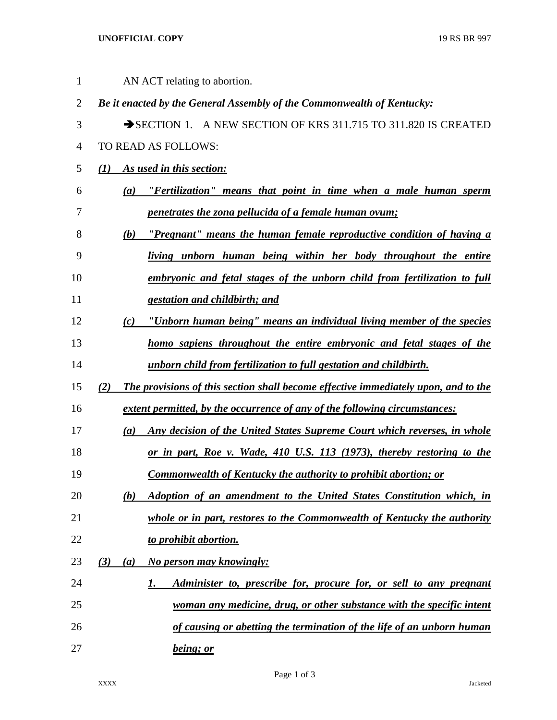## **UNOFFICIAL COPY** 19 RS BR 997

| 1              |     |     | AN ACT relating to abortion.                                                       |
|----------------|-----|-----|------------------------------------------------------------------------------------|
| $\overline{2}$ |     |     | Be it enacted by the General Assembly of the Commonwealth of Kentucky:             |
| 3              |     |     | SECTION 1. A NEW SECTION OF KRS 311.715 TO 311.820 IS CREATED                      |
| 4              |     |     | TO READ AS FOLLOWS:                                                                |
| 5              | (1) |     | As used in this section:                                                           |
| 6              |     |     | (a) "Fertilization" means that point in time when a male human sperm               |
| 7              |     |     | penetrates the zona pellucida of a female human ovum;                              |
| 8              |     | (b) | "Pregnant" means the human female reproductive condition of having a               |
| 9              |     |     | living unborn human being within her body throughout the entire                    |
| 10             |     |     | embryonic and fetal stages of the unborn child from fertilization to full          |
| 11             |     |     | gestation and childbirth; and                                                      |
| 12             |     | (c) | "Unborn human being" means an individual living member of the species              |
| 13             |     |     | homo sapiens throughout the entire embryonic and fetal stages of the               |
| 14             |     |     | unborn child from fertilization to full gestation and childbirth.                  |
| 15             | (2) |     | The provisions of this section shall become effective immediately upon, and to the |
| 16             |     |     | extent permitted, by the occurrence of any of the following circumstances:         |
| 17             |     | (a) | Any decision of the United States Supreme Court which reverses, in whole           |
| 18             |     |     | or in part, Roe v. Wade, 410 U.S. 113 (1973), thereby restoring to the             |
| 19             |     |     | <b>Commonwealth of Kentucky the authority to prohibit abortion; or</b>             |
| 20             |     | (b) | Adoption of an amendment to the United States Constitution which, in               |
| 21             |     |     | whole or in part, restores to the Commonwealth of Kentucky the authority           |
| 22             |     |     | to prohibit abortion.                                                              |
| 23             | (3) | (a) | No person may knowingly:                                                           |
| 24             |     |     | Administer to, prescribe for, procure for, or sell to any pregnant<br>1.           |
| 25             |     |     | woman any medicine, drug, or other substance with the specific intent              |
| 26             |     |     | of causing or abetting the termination of the life of an unborn human              |
| 27             |     |     | being; or                                                                          |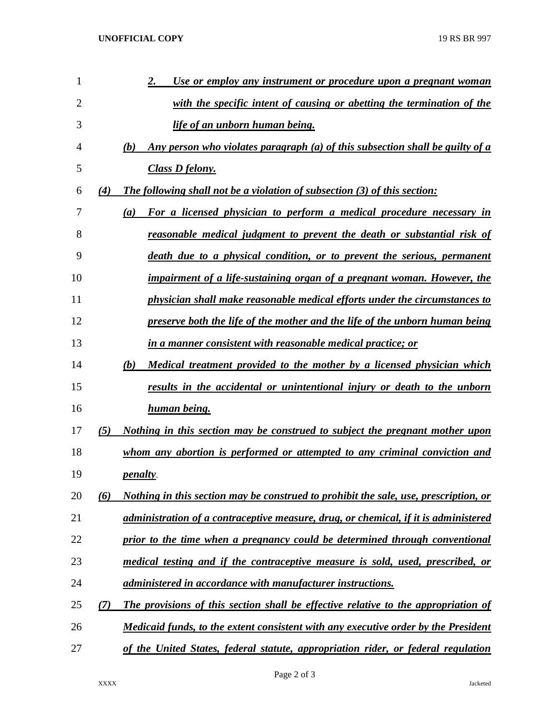| 1  |     | Use or employ any instrument or procedure upon a pregnant woman<br>2.                |
|----|-----|--------------------------------------------------------------------------------------|
| 2  |     | with the specific intent of causing or abetting the termination of the               |
| 3  |     | life of an unborn human being.                                                       |
| 4  |     | Any person who violates paragraph (a) of this subsection shall be guilty of a<br>(b) |
| 5  |     | <b>Class D felony.</b>                                                               |
| 6  | (4) | <b>The following shall not be a violation of subsection (3) of this section:</b>     |
| 7  |     | For a licensed physician to perform a medical procedure necessary in<br>(a)          |
| 8  |     | reasonable medical judgment to prevent the death or substantial risk of              |
| 9  |     | death due to a physical condition, or to prevent the serious, permanent              |
| 10 |     | impairment of a life-sustaining organ of a pregnant woman. However, the              |
| 11 |     | physician shall make reasonable medical efforts under the circumstances to           |
| 12 |     | preserve both the life of the mother and the life of the unborn human being          |
| 13 |     | in a manner consistent with reasonable medical practice; or                          |
| 14 |     | <u>Medical treatment provided to the mother by a licensed physician which</u><br>(b) |
| 15 |     | results in the accidental or unintentional injury or death to the unborn             |
| 16 |     | human being.                                                                         |
| 17 | (5) | <u>Nothing in this section may be construed to subject the pregnant mother upon</u>  |
| 18 |     | whom any abortion is performed or attempted to any criminal conviction and           |
| 19 |     | <i>penalty.</i>                                                                      |
| 20 | (6) | Nothing in this section may be construed to prohibit the sale, use, prescription, or |
| 21 |     | administration of a contraceptive measure, drug, or chemical, if it is administered  |
| 22 |     | prior to the time when a pregnancy could be determined through conventional          |
| 23 |     | medical testing and if the contraceptive measure is sold, used, prescribed, or       |
| 24 |     | administered in accordance with manufacturer instructions.                           |
| 25 | (7) | The provisions of this section shall be effective relative to the appropriation of   |
| 26 |     | Medicaid funds, to the extent consistent with any executive order by the President   |
| 27 |     | of the United States, federal statute, appropriation rider, or federal regulation    |